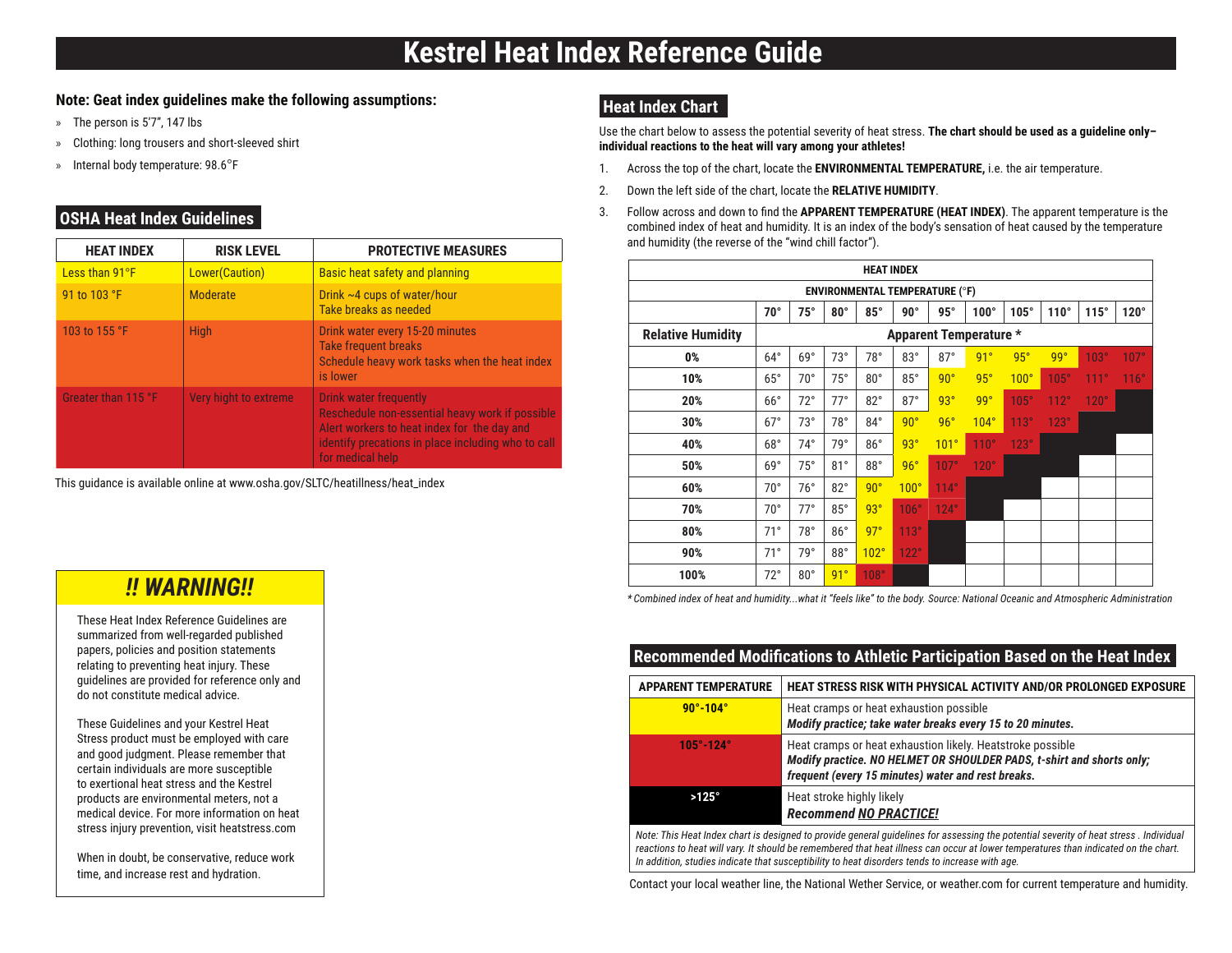#### **Note: Geat index guidelines make the following assumptions:**

- » The person is 5'7", 147 lbs
- » Clothing: long trousers and short-sleeved shirt
- » Internal body temperature: 98.6°F

### **OSHA Heat Index Guidelines**

| <b>HEAT INDEX</b>   | <b>RISK LEVEL</b>     | <b>PROTECTIVE MEASURES</b>                                                                                                                                                                         |
|---------------------|-----------------------|----------------------------------------------------------------------------------------------------------------------------------------------------------------------------------------------------|
| Less than 91°F      | Lower(Caution)        | Basic heat safety and planning                                                                                                                                                                     |
| 91 to 103 °F        | Moderate              | Drink $\sim$ 4 cups of water/hour<br>Take breaks as needed                                                                                                                                         |
| 103 to 155 °F       | <b>High</b>           | Drink water every 15-20 minutes<br><b>Take frequent breaks</b><br>Schedule heavy work tasks when the heat index<br>is lower                                                                        |
| Greater than 115 °F | Very hight to extreme | Drink water frequently<br>Reschedule non-essential heavy work if possible<br>Alert workers to heat index for the day and<br>identify precations in place including who to call<br>for medical help |

This guidance is available online at www.osha.gov/SLTC/heatillness/heat\_index

#### **Heat Index Chart**

Use the chart below to assess the potential severity of heat stress. **The chart should be used as a guideline only– individual reactions to the heat will vary among your athletes!**

- 1. Across the top of the chart, locate the **ENVIRONMENTAL TEMPERATURE,** i.e. the air temperature.
- 2. Down the left side of the chart, locate the **RELATIVE HUMIDITY**.
- 3. Follow across and down to find the **APPARENT TEMPERATURE (HEAT INDEX)**. The apparent temperature is the combined index of heat and humidity. It is an index of the body's sensation of heat caused by the temperature and humidity (the reverse of the "wind chill factor").

| <b>HEAT INDEX</b>                     |                               |              |            |              |             |                  |             |             |             |      |             |
|---------------------------------------|-------------------------------|--------------|------------|--------------|-------------|------------------|-------------|-------------|-------------|------|-------------|
| <b>ENVIRONMENTAL TEMPERATURE (°F)</b> |                               |              |            |              |             |                  |             |             |             |      |             |
|                                       | $70^{\circ}$                  | $75^\circ$   | $80^\circ$ | $85^\circ$   | $90^\circ$  | $95^\circ$       | $100^\circ$ | $105^\circ$ | $110^\circ$ | 115° | $120^\circ$ |
| <b>Relative Humidity</b>              | <b>Apparent Temperature *</b> |              |            |              |             |                  |             |             |             |      |             |
| 0%                                    | $64^\circ$                    | $69^\circ$   | $73^\circ$ | 78°          | $83^\circ$  | $87^\circ$       | 91°         | $95^\circ$  | 99°         | 103° | 107°        |
| 10%                                   | $65^\circ$                    | $70^{\circ}$ | $75^\circ$ | $80^{\circ}$ | $85^\circ$  | $90^\circ$       | $95^\circ$  | 100°        | 105°        | 111° | 116°        |
| 20%                                   | $66^{\circ}$                  | $72^{\circ}$ | $77^\circ$ | $82^\circ$   | $87^\circ$  | 93°              | 99°         | $105^\circ$ | 112°        | 120° |             |
| 30%                                   | $67^\circ$                    | $73^\circ$   | 78°        | $84^{\circ}$ | 90°         | 96°              | $104^\circ$ | 113°        | 123°        |      |             |
| 40%                                   | $68^\circ$                    | $74^\circ$   | 79°        | 86°          | 93°         | 101 <sup>°</sup> | 110°        | $123^\circ$ |             |      |             |
| 50%                                   | $69^\circ$                    | 75°          | $81^\circ$ | 88°          | 96°         | 107°             | 120°        |             |             |      |             |
| 60%                                   | $70^{\circ}$                  | 76°          | $82^\circ$ | 90°          | $100^\circ$ | $114^\circ$      |             |             |             |      |             |
| 70%                                   | $70^{\circ}$                  | $77^\circ$   | $85^\circ$ | 93°          | 106°        | $124^\circ$      |             |             |             |      |             |
| 80%                                   | 71°                           | $78^\circ$   | $86^\circ$ | 97°          | 113°        |                  |             |             |             |      |             |
| 90%                                   | 71°                           | 79°          | $88^\circ$ | 102°         | 122°        |                  |             |             |             |      |             |
| 100%                                  | $72^{\circ}$                  | $80^\circ$   | 91°        | 108°         |             |                  |             |             |             |      |             |

*\* Combined index of heat and humidity...what it "feels like" to the body. Source: National Oceanic and Atmospheric Administration* 

#### **Recommended Modifications to Athletic Participation Based on the Heat Index**

| <b>APPARENT TEMPERATURE</b>                                                                                                           | <b>HEAT STRESS RISK WITH PHYSICAL ACTIVITY AND/OR PROLONGED EXPOSURE</b>                                                                                                                  |  |  |  |  |
|---------------------------------------------------------------------------------------------------------------------------------------|-------------------------------------------------------------------------------------------------------------------------------------------------------------------------------------------|--|--|--|--|
| $90^{\circ} - 104^{\circ}$                                                                                                            | Heat cramps or heat exhaustion possible<br>Modify practice; take water breaks every 15 to 20 minutes.                                                                                     |  |  |  |  |
| $105^{\circ} - 124^{\circ}$                                                                                                           | Heat cramps or heat exhaustion likely. Heatstroke possible<br>Modify practice. NO HELMET OR SHOULDER PADS, t-shirt and shorts only;<br>frequent (every 15 minutes) water and rest breaks. |  |  |  |  |
| $>125^\circ$                                                                                                                          | Heat stroke highly likely<br><b>Recommend NO PRACTICE!</b>                                                                                                                                |  |  |  |  |
| Note: This Heat Index chart is designed to provide general quidelines for assessing the potential severity of heat stress. Individual |                                                                                                                                                                                           |  |  |  |  |

*Note: This Heat Index chart is designed to provide general guidelines for assessing the potential severity of heat stress . Individual reactions to heat will vary. It should be remembered that heat illness can occur at lower temperatures than indicated on the chart. In addition, studies indicate that susceptibility to heat disorders tends to increase with age.*

Contact your local weather line, the National Wether Service, or weather.com for current temperature and humidity.

## *!! WARNING!!*

These Heat Index Reference Guidelines are summarized from well-regarded published papers, policies and position statements relating to preventing heat injury. These guidelines are provided for reference only and do not constitute medical advice.

These Guidelines and your Kestrel Heat Stress product must be employed with care and good judgment. Please remember that certain individuals are more susceptible to exertional heat stress and the Kestrel products are environmental meters, not a medical device. For more information on heat stress injury prevention, visit heatstress.com

When in doubt, be conservative, reduce work time, and increase rest and hydration.